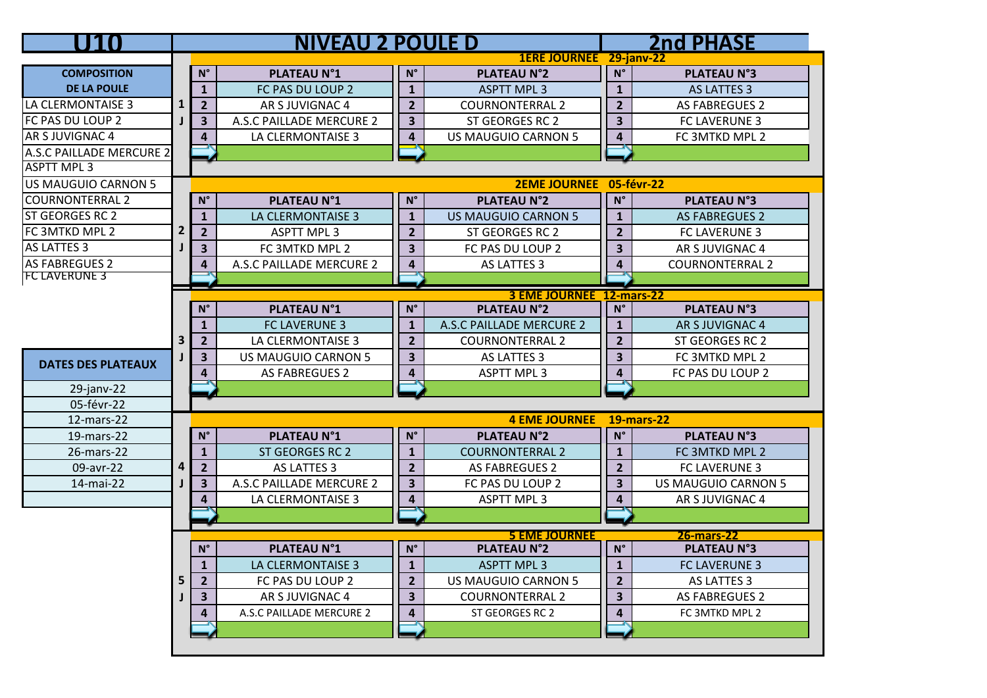| U FI TO                   |                |                         | <b>NIVEAU 2 POULE D</b>  |                         |                                 |                         | <b>2nd PHASE</b>       |
|---------------------------|----------------|-------------------------|--------------------------|-------------------------|---------------------------------|-------------------------|------------------------|
|                           |                |                         |                          |                         | 1ERE JOURNEE 29-janv-22         |                         |                        |
| <b>COMPOSITION</b>        |                | $N^{\circ}$             | <b>PLATEAU N°1</b>       | $N^{\circ}$             | <b>PLATEAU N°2</b>              | $\mathsf{N}^\circ$      | <b>PLATEAU N°3</b>     |
| <b>DE LA POULE</b>        |                | $\mathbf{1}$            | FC PAS DU LOUP 2         | $\mathbf{1}$            | <b>ASPTT MPL 3</b>              | $\mathbf{1}$            | <b>AS LATTES 3</b>     |
| LA CLERMONTAISE 3         |                | 2 <sup>1</sup>          | AR S JUVIGNAC 4          | $\overline{2}$          | <b>COURNONTERRAL 2</b>          | $\overline{2}$          | <b>AS FABREGUES 2</b>  |
| FC PAS DU LOUP 2          |                | 3 <sup>1</sup>          | A.S.C PAILLADE MERCURE 2 | $\overline{\mathbf{3}}$ | ST GEORGES RC 2                 | $\overline{\mathbf{3}}$ | FC LAVERUNE 3          |
| AR S JUVIGNAC 4           |                | 4                       | LA CLERMONTAISE 3        | $\overline{\mathbf{4}}$ | <b>US MAUGUIO CARNON 5</b>      | $\overline{\mathbf{4}}$ | FC 3MTKD MPL 2         |
| A.S.C PAILLADE MERCURE 2  |                |                         |                          |                         |                                 |                         |                        |
| <b>ASPTT MPL 3</b>        |                |                         |                          |                         |                                 |                         |                        |
| US MAUGUIO CARNON 5       |                |                         |                          |                         | 2EME JOURNEE 05-févr-22         |                         |                        |
| <b>COURNONTERRAL 2</b>    |                | $N^{\circ}$             | <b>PLATEAU N°1</b>       | $N^{\circ}$             | <b>PLATEAU N°2</b>              | $N^{\circ}$             | <b>PLATEAU N°3</b>     |
| <b>ST GEORGES RC 2</b>    |                | $\mathbf{1}$            | LA CLERMONTAISE 3        | $\mathbf{1}$            | <b>US MAUGUIO CARNON 5</b>      | $\mathbf{1}$            | <b>AS FABREGUES 2</b>  |
| FC 3MTKD MPL 2            | $\overline{2}$ | 2 <sup>1</sup>          | <b>ASPTT MPL 3</b>       | $\overline{2}$          | ST GEORGES RC 2                 | $\overline{2}$          | FC LAVERUNE 3          |
| AS LATTES 3               |                | 3 <sup>1</sup>          | FC 3MTKD MPL 2           | $\overline{\mathbf{3}}$ | FC PAS DU LOUP 2                | 3                       | AR S JUVIGNAC 4        |
| <b>AS FABREGUES 2</b>     |                | 4                       | A.S.C PAILLADE MERCURE 2 | $\overline{\mathbf{4}}$ | AS LATTES 3                     | 4                       | <b>COURNONTERRAL 2</b> |
| <b>FC LAVERUNE 3</b>      |                |                         |                          |                         |                                 |                         |                        |
|                           |                |                         |                          |                         | <b>3 EME JOURNEE 12-mars-22</b> |                         |                        |
|                           |                | $N^{\circ}$             | <b>PLATEAU N°1</b>       | $N^{\circ}$             | <b>PLATEAU N°2</b>              | $N^{\circ}$             | <b>PLATEAU N°3</b>     |
|                           |                | $\mathbf{1}$            | <b>FC LAVERUNE 3</b>     | $\mathbf{1}$            | <b>A.S.C PAILLADE MERCURE 2</b> | $\mathbf{1}$            | AR S JUVIGNAC 4        |
|                           | 3              | 2 <sup>2</sup>          | LA CLERMONTAISE 3        | $\overline{2}$          | <b>COURNONTERRAL 2</b>          | $\overline{2}$          | ST GEORGES RC 2        |
| <b>DATES DES PLATEAUX</b> |                | $\mathbf{3}$            | US MAUGUIO CARNON 5      | $\overline{\mathbf{3}}$ | AS LATTES 3                     | $\overline{\mathbf{3}}$ | FC 3MTKD MPL 2         |
|                           |                | $\overline{\mathbf{4}}$ | <b>AS FABREGUES 2</b>    | $\overline{\mathbf{4}}$ | <b>ASPTT MPL 3</b>              | $\overline{\mathbf{4}}$ | FC PAS DU LOUP 2       |
| $29$ -janv-22             |                |                         |                          |                         |                                 |                         |                        |
| 05-févr-22                |                |                         |                          |                         |                                 |                         |                        |
| 12-mars-22                |                |                         |                          |                         | <b>4 EME JOURNEE</b>            |                         | <b>19-mars-22</b>      |
| 19-mars-22                |                | $N^{\circ}$             | <b>PLATEAU N°1</b>       | $N^{\circ}$             | <b>PLATEAU N°2</b>              | $N^{\circ}$             | <b>PLATEAU N°3</b>     |
| 26-mars-22                |                | $\mathbf{1}$            | ST GEORGES RC 2          | $\mathbf{1}$            | <b>COURNONTERRAL 2</b>          | $\mathbf{1}$            | FC 3MTKD MPL 2         |
| 09-avr-22                 | 4              | $2^{\circ}$             | AS LATTES 3              | $\overline{2}$          | <b>AS FABREGUES 2</b>           | $\overline{2}$          | <b>FC LAVERUNE 3</b>   |
| 14-mai-22                 |                | 3 <sup>1</sup>          | A.S.C PAILLADE MERCURE 2 | $\overline{\mathbf{3}}$ | FC PAS DU LOUP 2                | $\overline{\mathbf{3}}$ | US MAUGUIO CARNON 5    |
|                           |                | $\overline{\mathbf{4}}$ | LA CLERMONTAISE 3        | $\overline{\mathbf{4}}$ | <b>ASPTT MPL 3</b>              | $\overline{\mathbf{4}}$ | AR S JUVIGNAC 4        |
|                           |                |                         |                          | -                       |                                 |                         |                        |
|                           |                |                         |                          |                         | <b>5 EME JOURNEE</b>            |                         | <b>26-mars-22</b>      |
|                           |                | $N^{\circ}$             | <b>PLATEAU N°1</b>       | $N^{\circ}$             | <b>PLATEAU N°2</b>              | $\mathsf{N}^\circ$      | <b>PLATEAU N°3</b>     |
|                           |                | $\mathbf{1}$            | LA CLERMONTAISE 3        | $\mathbf{1}$            | <b>ASPTT MPL 3</b>              | $\mathbf{1}$            | <b>FC LAVERUNE 3</b>   |
|                           | 5              | $\overline{2}$          | FC PAS DU LOUP 2         | $\overline{2}$          | <b>US MAUGUIO CARNON 5</b>      | $\overline{2}$          | AS LATTES 3            |
|                           |                | 3                       | AR S JUVIGNAC 4          | $\overline{\mathbf{3}}$ | <b>COURNONTERRAL 2</b>          | 3                       | AS FABREGUES 2         |
|                           |                | 4                       | A.S.C PAILLADE MERCURE 2 | 4                       | ST GEORGES RC 2                 | 4                       | FC 3MTKD MPL 2         |
|                           |                |                         |                          |                         |                                 |                         |                        |
|                           |                |                         |                          |                         |                                 |                         |                        |